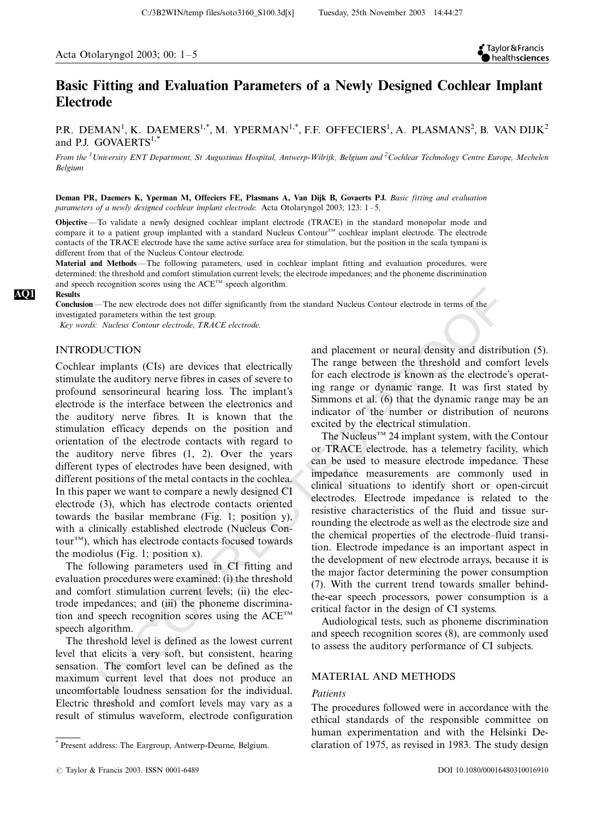# Basic Fitting and Evaluation Parameters of a Newly Designed Cochlear Implant Electrode

C:/3B2WIN/temp files/soto3160\_S100.3d[x] Tuesday, 25th November 2003 14:44:27

P.R. DEMAN $^{\rm l}$ , K. DAEMERS $^{\rm l, *}$ , M. YPERMAN $^{\rm l, *}$ , F.F. OFFECIERS $^{\rm l}$ , A. PLASMANS $^{\rm 2}$ , B. VAN DIJK $^{\rm 2}$ and P.J. GOVAERTS<sup>1,\*</sup>

From the <sup>1</sup>University ENT Department, St Augustinus Hospital, Antwerp-Wilrijk, Belgium and <sup>2</sup>Cochlear Technology Centre Europe, Mechelen Belgium

Deman PR, Daemers K, Yperman M, Offeciers FE, Plasmans A, Van Dijk B, Govaerts PJ. Basic fitting and evaluation parameters of a newly designed cochlear implant electrode. Acta Otolaryngol 2003; 123: 1-5.

Objective\*/To validate a newly designed cochlear implant electrode (TRACE) in the standard monopolar mode and compare it to a patient group implanted with a standard Nucleus Contour<sup>TM</sup> cochlear implant electrode. The electrode contacts of the TRACE electrode have the same active surface area for stimulation, but the position in the scala tympani is different from that of the Nucleus Contour electrode.

Material and Methods-The following parameters, used in cochlear implant fitting and evaluation procedures, were determined: the threshold and comfort stimulation current levels; the electrode impedances; and the phoneme discrimination and speech recognition scores using the  $ACE^{TM}$  speech algorithm.

Results

Conclusion—The new electrode does not differ significantly from the standard Nucleus Contour electrode in terms of the investigated parameters within the test group.

Key words: Nucleus Contour electrode, TRACE electrode.

# INTRODUCTION

**sion—The new electrode does not differ a spiring the standard Nucleus Conture electrode is the standard Nucleu<br>
and placement or neural density and distributed parameters within the let group<br>
converte with the letter el** Cochlear implants (CIs) are devices that electrically stimulate the auditory nerve fibres in cases of severe to profound sensorineural hearing loss. The implant's electrode is the interface between the electronics and the auditory nerve fibres. It is known that the stimulation efficacy depends on the position and orientation of the electrode contacts with regard to the auditory nerve fibres (1, 2). Over the years different types of electrodes have been designed, with different positions of the metal contacts in the cochlea. In this paper we want to compare a newly designed CI electrode (3), which has electrode contacts oriented towards the basilar membrane (Fig. 1; position y), with a clinically established electrode (Nucleus Contour<sup>TM</sup>), which has electrode contacts focused towards the modiolus (Fig. 1; position x).

The following parameters used in CI fitting and evaluation procedures were examined: (i) the threshold and comfort stimulation current levels; (ii) the electrode impedances; and (iii) the phoneme discrimination and speech recognition scores using the  $ACE^{TM}$ speech algorithm.

The threshold level is defined as the lowest current level that elicits a very soft, but consistent, hearing sensation. The comfort level can be defined as the maximum current level that does not produce an uncomfortable loudness sensation for the individual. Electric threshold and comfort levels may vary as a result of stimulus waveform, electrode configuration

and placement or neural density and distribution (5). The range between the threshold and comfort levels for each electrode is known as the electrode's operating range or dynamic range. It was first stated by Simmons et al. (6) that the dynamic range may be an indicator of the number or distribution of neurons excited by the electrical stimulation.

The Nucleus<sup>TM</sup> 24 implant system, with the Contour or TRACE electrode, has a telemetry facility, which can be used to measure electrode impedance. These impedance measurements are commonly used in clinical situations to identify short or open-circuit electrodes. Electrode impedance is related to the resistive characteristics of the fluid and tissue surrounding the electrode as well as the electrode size and the chemical properties of the electrode–fluid transition. Electrode impedance is an important aspect in the development of new electrode arrays, because it is the major factor determining the power consumption (7). With the current trend towards smaller behindthe-ear speech processors, power consumption is a critical factor in the design of CI systems.

Audiological tests, such as phoneme discrimination and speech recognition scores (8), are commonly used to assess the auditory performance of CI subjects.

## MATERIAL AND METHODS

#### Patients

The procedures followed were in accordance with the ethical standards of the responsible committee on human experimentation and with the Helsinki De-\* Present address: The Eargroup, Antwerp-Deurne, Belgium. claration of 1975, as revised in 1983. The study design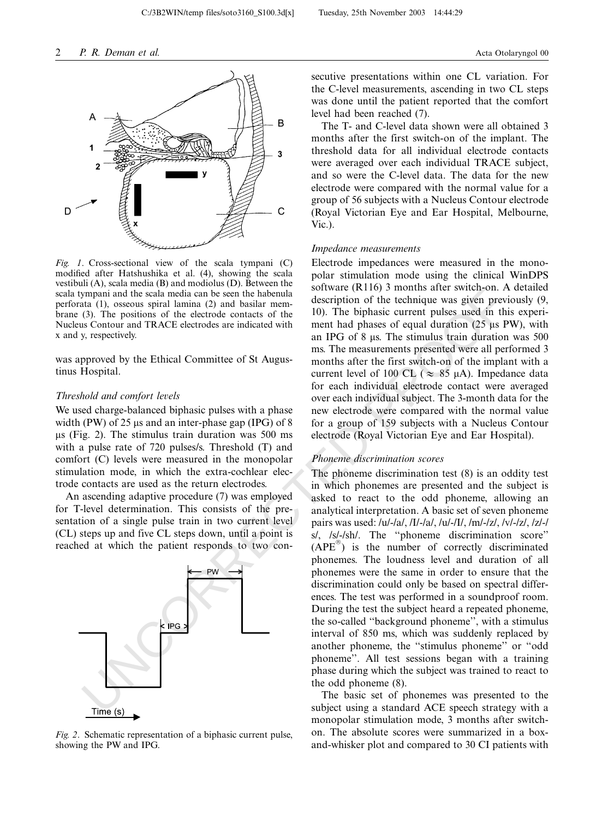

Fig. 1. Cross-sectional view of the scala tympani (C) modified after Hatshushika et al. (4), showing the scala vestibuli (A), scala media (B) and modiolus (D). Between the scala tympani and the scala media can be seen the habenula perforata (1), osseous spiral lamina (2) and basilar membrane (3). The positions of the electrode contacts of the Nucleus Contour and TRACE electrodes are indicated with x and y, respectively.

was approved by the Ethical Committee of St Augustinus Hospital.

#### Threshold and comfort levels

We used charge-balanced biphasic pulses with a phase width (PW) of 25  $\mu$ s and an inter-phase gap (IPG) of 8  $\mu$ s (Fig. 2). The stimulus train duration was 500 ms with a pulse rate of 720 pulses/s. Threshold (T) and comfort (C) levels were measured in the monopolar stimulation mode, in which the extra-cochlear electrode contacts are used as the return electrodes.

An ascending adaptive procedure (7) was employed for T-level determination. This consists of the presentation of a single pulse train in two current level (CL) steps up and five CL steps down, until a point is reached at which the patient responds to two con-



Fig. 2. Schematic representation of a biphasic current pulse, showing the PW and IPG.

secutive presentations within one CL variation. For the C-level measurements, ascending in two CL steps was done until the patient reported that the comfort level had been reached (7).

The T- and C-level data shown were all obtained 3 months after the first switch-on of the implant. The threshold data for all individual electrode contacts were averaged over each individual TRACE subject, and so were the C-level data. The data for the new electrode were compared with the normal value for a group of 56 subjects with a Nucleus Contour electrode (Royal Victorian Eye and Ear Hospital, Melbourne, Vic.).

#### Impedance measurements

C:/3B2WIN/temp files/soto3160\_S100.3d[x] Tuesday, 25th November 2003 14:44:29

Electrode impedances were measured in the monopolar stimulation mode using the clinical WinDPS software (R116) 3 months after switch-on. A detailed description of the technique was given previously (9, 10). The biphasic current pulses used in this experiment had phases of equal duration  $(25 \mu s \text{ PW})$ , with an IPG of 8  $\mu$ s. The stimulus train duration was 500 ms. The measurements presented were all performed 3 months after the first switch-on of the implant with a current level of 100 CL ( $\approx$  85  $\mu$ A). Impedance data for each individual electrode contact were averaged over each individual subject. The 3-month data for the new electrode were compared with the normal value for a group of 159 subjects with a Nucleus Contour electrode (Royal Victorian Eye and Ear Hospital).

### Phoneme discrimination scores

sympter and the scalar media can be seen the habenda solitivar (K110) 3 months are welcomen and the scalar media can be seen the base of the detroited of the electrode order of the detroited order in the big and the speci The phoneme discrimination test (8) is an oddity test in which phonemes are presented and the subject is asked to react to the odd phoneme, allowing an analytical interpretation. A basic set of seven phoneme pairs was used: /u/-/a/, /I/-/a/, /u/-/I/, /m/-/z/, /v/-/z/, /z/-/ s/, /s/-/sh/. The ''phoneme discrimination score''  $(APE<sup>®</sup>)$  is the number of correctly discriminated phonemes. The loudness level and duration of all phonemes were the same in order to ensure that the discrimination could only be based on spectral differences. The test was performed in a soundproof room. During the test the subject heard a repeated phoneme, the so-called ''background phoneme'', with a stimulus interval of 850 ms, which was suddenly replaced by another phoneme, the ''stimulus phoneme'' or ''odd phoneme''. All test sessions began with a training phase during which the subject was trained to react to the odd phoneme (8).

The basic set of phonemes was presented to the subject using a standard ACE speech strategy with a monopolar stimulation mode, 3 months after switchon. The absolute scores were summarized in a boxand-whisker plot and compared to 30 CI patients with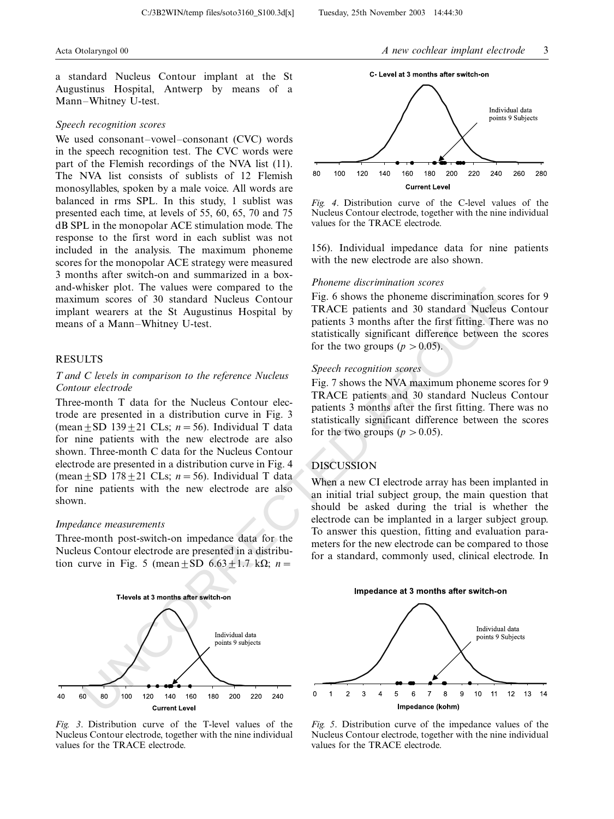a standard Nucleus Contour implant at the St Augustinus Hospital, Antwerp by means of a Mann-Whitney U-test.

#### Speech recognition scores

We used consonant-vowel-consonant  $(CVC)$  words in the speech recognition test. The CVC words were part of the Flemish recordings of the NVA list (11). The NVA list consists of sublists of 12 Flemish monosyllables, spoken by a male voice. All words are balanced in rms SPL. In this study, 1 sublist was presented each time, at levels of 55, 60, 65, 70 and 75 dB SPL in the monopolar ACE stimulation mode. The response to the first word in each sublist was not included in the analysis. The maximum phoneme scores for the monopolar ACE strategy were measured 3 months after switch-on and summarized in a boxand-whisker plot. The values were compared to the maximum scores of 30 standard Nucleus Contour implant wearers at the St Augustinus Hospital by means of a Mann-Whitney U-test.

# **RESULTS**

# T and C levels in comparison to the reference Nucleus Contour electrode

Three-month T data for the Nucleus Contour electrode are presented in a distribution curve in Fig. 3 (mean  $\pm$  SD 139 $\pm$ 21 CLs; n = 56). Individual T data for nine patients with the new electrode are also shown. Three-month C data for the Nucleus Contour electrode are presented in a distribution curve in Fig. 4 (mean  $\pm$  SD 178 $\pm$ 21 CLs; n = 56). Individual T data for nine patients with the new electrode are also shown.

#### Impedance measurements

Three-month post-switch-on impedance data for the Nucleus Contour electrode are presented in a distribution curve in Fig. 5 (mean  $\pm$  SD 6.63 $\pm$ 1.7 kΩ; n =



Fig. 3. Distribution curve of the T-level values of the Nucleus Contour electrode, together with the nine individual values for the TRACE electrode.



Fig. 4. Distribution curve of the C-level values of the Nucleus Contour electrode, together with the nine individual values for the TRACE electrode.

156). Individual impedance data for nine patients with the new electrode are also shown.

# Phoneme discrimination scores

C:/3B2WIN/temp files/soto3160\_S100.3d[x] Tuesday, 25th November 2003 14:44:30

Fig. 6 shows the phoneme discrimination scores for 9 TRACE patients and 30 standard Nucleus Contour patients 3 months after the first fitting. There was no statistically significant difference between the scores for the two groups ( $p > 0.05$ ).

# Speech recognition scores

Fig. 7 shows the NVA maximum phoneme scores for 9 TRACE patients and 30 standard Nucleus Contour patients 3 months after the first fitting. There was no statistically significant difference between the scores for the two groups ( $p > 0.05$ ).

# DISCUSSION

When a new CI electrode array has been implanted in an initial trial subject group, the main question that should be asked during the trial is whether the electrode can be implanted in a larger subject group. To answer this question, fitting and evaluation parameters for the new electrode can be compared to those for a standard, commonly used, clinical electrode. In



Fig. 5. Distribution curve of the impedance values of the Nucleus Contour electrode, together with the nine individual values for the TRACE electrode.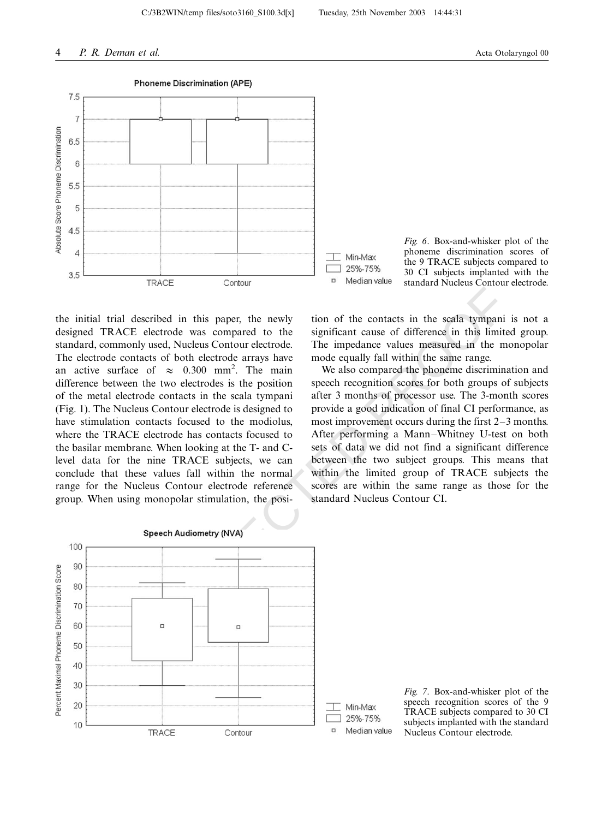

the initial trial described in this paper, the newly designed TRACE electrode was compared to the standard, commonly used, Nucleus Contour electrode. The electrode contacts of both electrode arrays have an active surface of  $\approx$  0.300 mm<sup>2</sup>. The main difference between the two electrodes is the position of the metal electrode contacts in the scala tympani (Fig. 1). The Nucleus Contour electrode is designed to have stimulation contacts focused to the modiolus, where the TRACE electrode has contacts focused to the basilar membrane. When looking at the T- and Clevel data for the nine TRACE subjects, we can conclude that these values fall within the normal range for the Nucleus Contour electrode reference group. When using monopolar stimulation, the posi-



Fig. 6. Box-and-whisker plot of the phoneme discrimination scores of the 9 TRACE subjects compared to 30 CI subjects implanted with the standard Nucleus Contour electrode.

tion of the contacts in the scala tympani is not a significant cause of difference in this limited group. The impedance values measured in the monopolar mode equally fall within the same range.

We also compared the phoneme discrimination and speech recognition scores for both groups of subjects after 3 months of processor use. The 3-month scores provide a good indication of final CI performance, as most improvement occurs during the first  $2-3$  months. After performing a Mann-Whitney U-test on both sets of data we did not find a significant difference between the two subject groups. This means that within the limited group of TRACE subjects the scores are within the same range as those for the standard Nucleus Contour CI.



Fig. 7. Box-and-whisker plot of the speech recognition scores of the 9 TRACE subjects compared to 30 CI subjects implanted with the standard Nucleus Contour electrode.



C:/3B2WIN/temp files/soto3160\_S100.3d[x] Tuesday, 25th November 2003 14:44:31